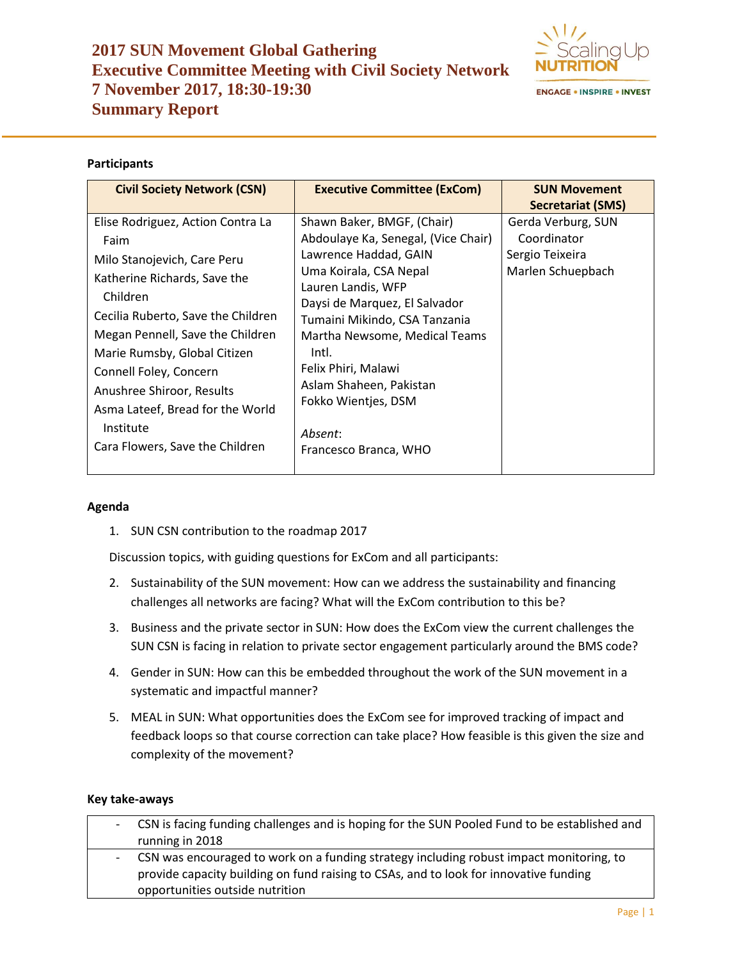# **2017 SUN Movement Global Gathering Executive Committee Meeting with Civil Society Network 7 November 2017, 18:30-19:30 Summary Report**



# **Participants**

| <b>Civil Society Network (CSN)</b> | <b>Executive Committee (ExCom)</b>  | <b>SUN Movement</b>      |  |
|------------------------------------|-------------------------------------|--------------------------|--|
|                                    |                                     | <b>Secretariat (SMS)</b> |  |
| Elise Rodriguez, Action Contra La  | Shawn Baker, BMGF, (Chair)          | Gerda Verburg, SUN       |  |
| Faim                               | Abdoulaye Ka, Senegal, (Vice Chair) | Coordinator              |  |
| Milo Stanojevich, Care Peru        | Lawrence Haddad, GAIN               | Sergio Teixeira          |  |
| Katherine Richards, Save the       | Uma Koirala, CSA Nepal              | Marlen Schuepbach        |  |
| Children                           | Lauren Landis, WFP                  |                          |  |
|                                    | Daysi de Marquez, El Salvador       |                          |  |
| Cecilia Ruberto, Save the Children | Tumaini Mikindo, CSA Tanzania       |                          |  |
| Megan Pennell, Save the Children   | Martha Newsome, Medical Teams       |                          |  |
| Marie Rumsby, Global Citizen       | Intl.                               |                          |  |
| Connell Foley, Concern             | Felix Phiri, Malawi                 |                          |  |
| Anushree Shiroor, Results          | Aslam Shaheen, Pakistan             |                          |  |
| Asma Lateef, Bread for the World   | Fokko Wientjes, DSM                 |                          |  |
| Institute                          |                                     |                          |  |
|                                    | Absent:                             |                          |  |
| Cara Flowers, Save the Children    | Francesco Branca, WHO               |                          |  |
|                                    |                                     |                          |  |

## **Agenda**

1. SUN CSN contribution to the roadmap 2017

Discussion topics, with guiding questions for ExCom and all participants:

- 2. Sustainability of the SUN movement: How can we address the sustainability and financing challenges all networks are facing? What will the ExCom contribution to this be?
- 3. Business and the private sector in SUN: How does the ExCom view the current challenges the SUN CSN is facing in relation to private sector engagement particularly around the BMS code?
- 4. Gender in SUN: How can this be embedded throughout the work of the SUN movement in a systematic and impactful manner?
- 5. MEAL in SUN: What opportunities does the ExCom see for improved tracking of impact and feedback loops so that course correction can take place? How feasible is this given the size and complexity of the movement?

## **Key take-aways**

|  | - CSN is facing funding challenges and is hoping for the SUN Pooled Fund to be established and                                                                                                                        |
|--|-----------------------------------------------------------------------------------------------------------------------------------------------------------------------------------------------------------------------|
|  | running in 2018                                                                                                                                                                                                       |
|  | - CSN was encouraged to work on a funding strategy including robust impact monitoring, to<br>provide capacity building on fund raising to CSAs, and to look for innovative funding<br>opportunities outside nutrition |
|  |                                                                                                                                                                                                                       |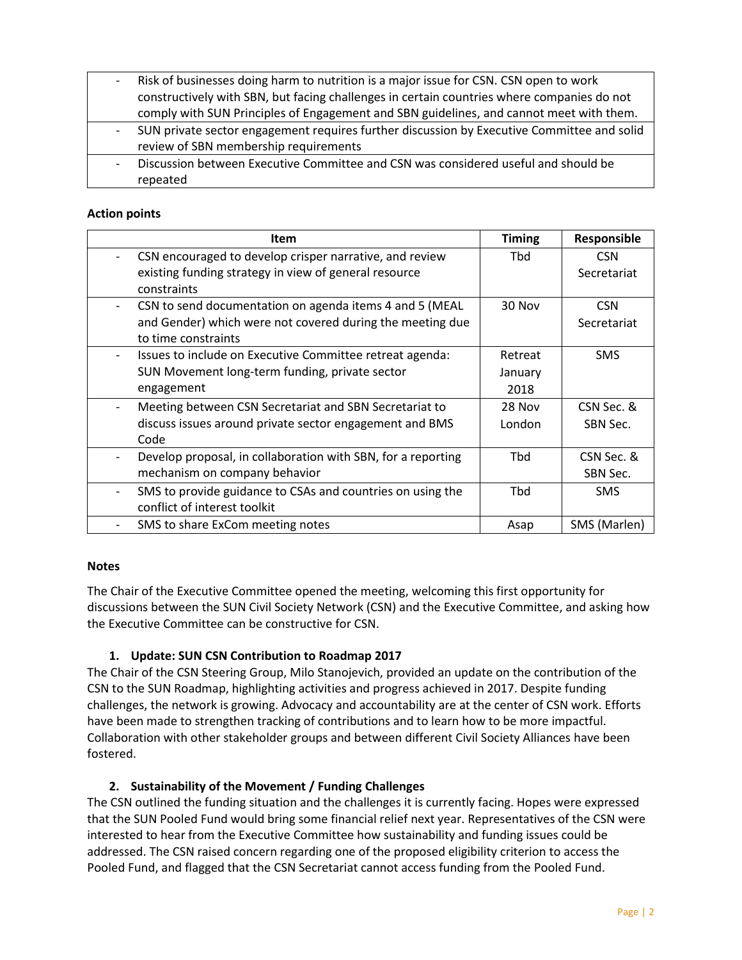| $-$                      | Risk of businesses doing harm to nutrition is a major issue for CSN. CSN open to work      |
|--------------------------|--------------------------------------------------------------------------------------------|
|                          | constructively with SBN, but facing challenges in certain countries where companies do not |
|                          | comply with SUN Principles of Engagement and SBN guidelines, and cannot meet with them.    |
| $\overline{\phantom{0}}$ | SUN private sector engagement requires further discussion by Executive Committee and solid |
|                          | review of SBN membership requirements                                                      |
|                          | Discussion between Executive Committee and CSN was considered useful and should be         |
|                          | repeated                                                                                   |

## **Action points**

| Item                                                         | <b>Timing</b> | Responsible  |
|--------------------------------------------------------------|---------------|--------------|
| CSN encouraged to develop crisper narrative, and review      | Tbd           | <b>CSN</b>   |
| existing funding strategy in view of general resource        |               | Secretariat  |
| constraints                                                  |               |              |
| CSN to send documentation on agenda items 4 and 5 (MEAL      | 30 Nov        | <b>CSN</b>   |
| and Gender) which were not covered during the meeting due    |               | Secretariat  |
| to time constraints                                          |               |              |
| Issues to include on Executive Committee retreat agenda:     | Retreat       | <b>SMS</b>   |
| SUN Movement long-term funding, private sector               | January       |              |
| engagement                                                   | 2018          |              |
| Meeting between CSN Secretariat and SBN Secretariat to       | 28 Nov        | CSN Sec. &   |
| discuss issues around private sector engagement and BMS      | London        | SBN Sec.     |
| Code                                                         |               |              |
| Develop proposal, in collaboration with SBN, for a reporting | <b>Tbd</b>    | CSN Sec. &   |
| mechanism on company behavior                                |               | SBN Sec.     |
| SMS to provide guidance to CSAs and countries on using the   | <b>Thd</b>    | <b>SMS</b>   |
| conflict of interest toolkit                                 |               |              |
| SMS to share ExCom meeting notes                             | Asap          | SMS (Marlen) |

## **Notes**

The Chair of the Executive Committee opened the meeting, welcoming this first opportunity for discussions between the SUN Civil Society Network (CSN) and the Executive Committee, and asking how the Executive Committee can be constructive for CSN.

# **1. Update: SUN CSN Contribution to Roadmap 2017**

The Chair of the CSN Steering Group, Milo Stanojevich, provided an update on the contribution of the CSN to the SUN Roadmap, highlighting activities and progress achieved in 2017. Despite funding challenges, the network is growing. Advocacy and accountability are at the center of CSN work. Efforts have been made to strengthen tracking of contributions and to learn how to be more impactful. Collaboration with other stakeholder groups and between different Civil Society Alliances have been fostered.

# **2. Sustainability of the Movement / Funding Challenges**

The CSN outlined the funding situation and the challenges it is currently facing. Hopes were expressed that the SUN Pooled Fund would bring some financial relief next year. Representatives of the CSN were interested to hear from the Executive Committee how sustainability and funding issues could be addressed. The CSN raised concern regarding one of the proposed eligibility criterion to access the Pooled Fund, and flagged that the CSN Secretariat cannot access funding from the Pooled Fund.